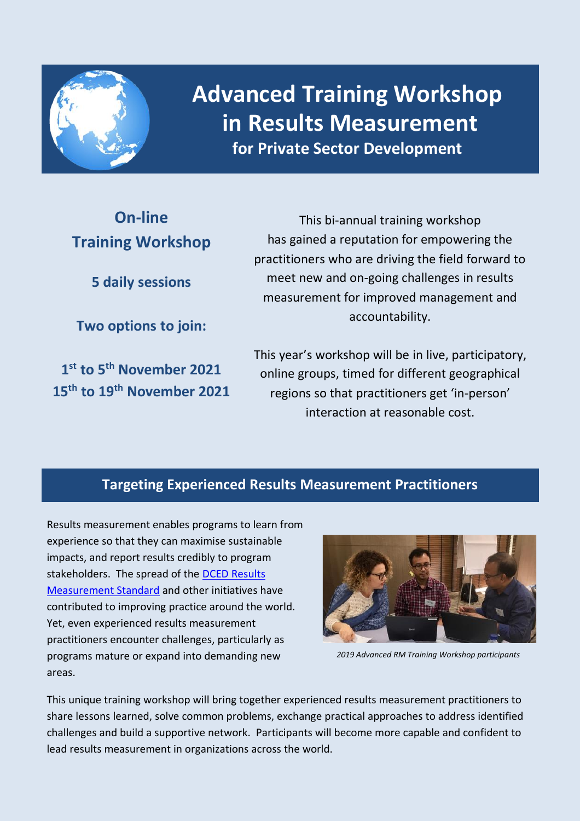

**Advanced Training Workshop in Results Measurement for Private Sector Development**

# **On-line Training Workshop**

**5 daily sessions**

**Two options to join:**

**1 st to 5th November 2021 15th to 19th November 2021**

This bi-annual training workshop has gained a reputation for empowering the practitioners who are driving the field forward to meet new and on-going challenges in results measurement for improved management and accountability.

This year's workshop will be in live, participatory, online groups, timed for different geographical regions so that practitioners get 'in-person' interaction at reasonable cost.

# **Targeting Experienced Results Measurement Practitioners**

Results measurement enables programs to learn from experience so that they can maximise sustainable impacts, and report results credibly to program stakeholders. The spread of the [DCED Results](https://www.enterprise-development.org/measuring-results-the-dced-standard/)  [Measurement Standard](https://www.enterprise-development.org/measuring-results-the-dced-standard/) and other initiatives have contributed to improving practice around the world. Yet, even experienced results measurement practitioners encounter challenges, particularly as programs mature or expand into demanding new areas.



*2019 Advanced RM Training Workshop participants*

This unique training workshop will bring together experienced results measurement practitioners to share lessons learned, solve common problems, exchange practical approaches to address identified challenges and build a supportive network. Participants will become more capable and confident to lead results measurement in organizations across the world.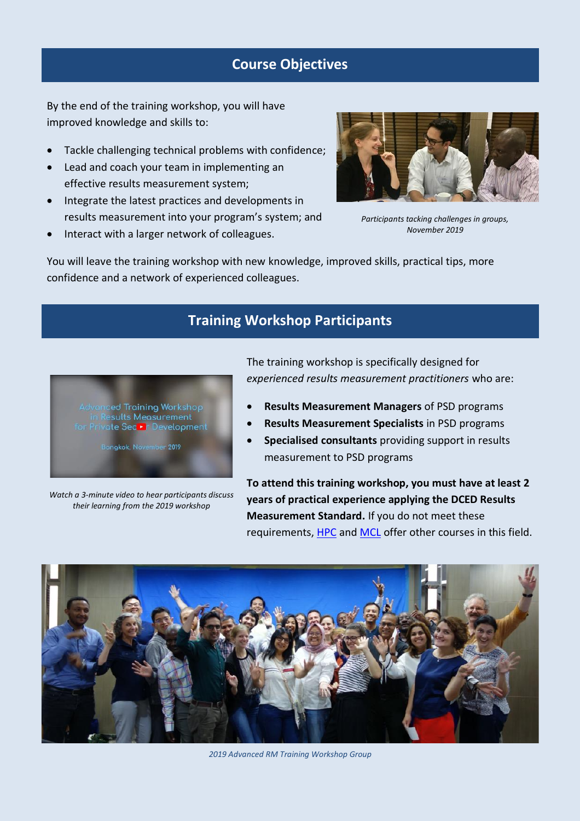### **Course Objectives**

By the end of the training workshop, you will have improved knowledge and skills to:

- Tackle challenging technical problems with confidence;
- Lead and coach your team in implementing an effective results measurement system;
- Integrate the latest practices and developments in results measurement into your program's system; and
- Interact with a larger network of colleagues.



*Participants tacking challenges in groups, November 2019* 

You will leave the training workshop with new knowledge, improved skills, practical tips, more confidence and a network of experienced colleagues.

# **Training Workshop Participants**



sangkok, November 2019

*Watch a 3-minute video to hear participants discuss their learning from the 2019 workshop*

The training workshop is specifically designed for *experienced results measurement practitioners* who are:

- **Results Measurement Managers** of PSD programs
- **Results Measurement Specialists** in PSD programs
- **Specialised consultants** providing support in results measurement to PSD programs

**To attend this training workshop, you must have at least 2 years of practical experience applying the DCED Results Measurement Standard.** If you do not meet these requirements, [HPC](https://www.hposthumus.nl/upcoming-trainings-2) an[d MCL](http://www.miehlbradt.com/HTML/training.html) offer other courses in this field.



*2019 Advanced RM Training Workshop Group*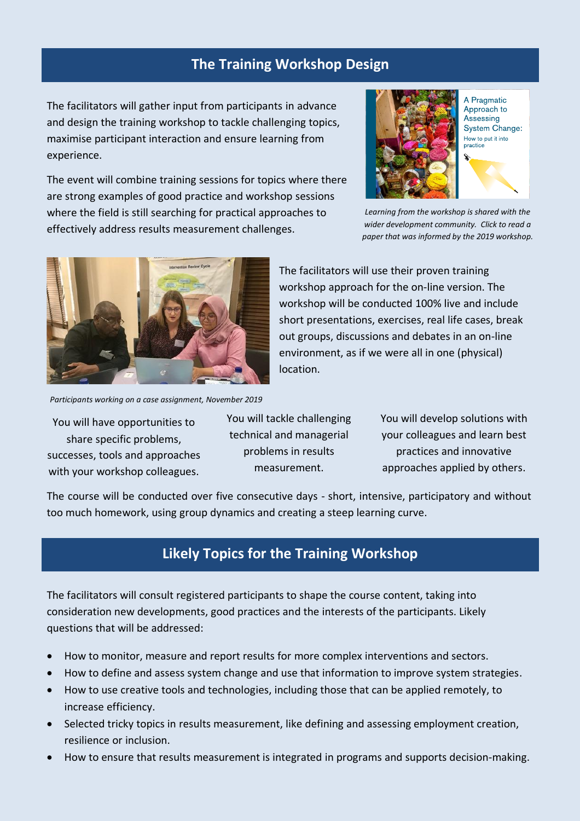### **The Training Workshop Design**

The facilitators will gather input from participants in advance and design the training workshop to tackle challenging topics, maximise participant interaction and ensure learning from experience.

The event will combine training sessions for topics where there are strong examples of good practice and workshop sessions where the field is still searching for practical approaches to effectively address results measurement challenges.



*Learning from the workshop is shared with the wider development community. Click to read a paper that was informed by the 2019 workshop.*



The facilitators will use their proven training workshop approach for the on-line version. The workshop will be conducted 100% live and include short presentations, exercises, real life cases, break out groups, discussions and debates in an on-line environment, as if we were all in one (physical) location.

*Participants working on a case assignment, November 2019*

You will have opportunities to share specific problems, successes, tools and approaches with your workshop colleagues.

You will tackle challenging technical and managerial problems in results measurement.

You will develop solutions with your colleagues and learn best practices and innovative approaches applied by others.

The course will be conducted over five consecutive days - short, intensive, participatory and without too much homework, using group dynamics and creating a steep learning curve.

## **Likely Topics for the Training Workshop**

The facilitators will consult registered participants to shape the course content, taking into consideration new developments, good practices and the interests of the participants. Likely questions that will be addressed:

- How to monitor, measure and report results for more complex interventions and sectors.
- How to define and assess system change and use that information to improve system strategies.
- How to use creative tools and technologies, including those that can be applied remotely, to increase efficiency.
- Selected tricky topics in results measurement, like defining and assessing employment creation, resilience or inclusion.
- How to ensure that results measurement is integrated in programs and supports decision-making.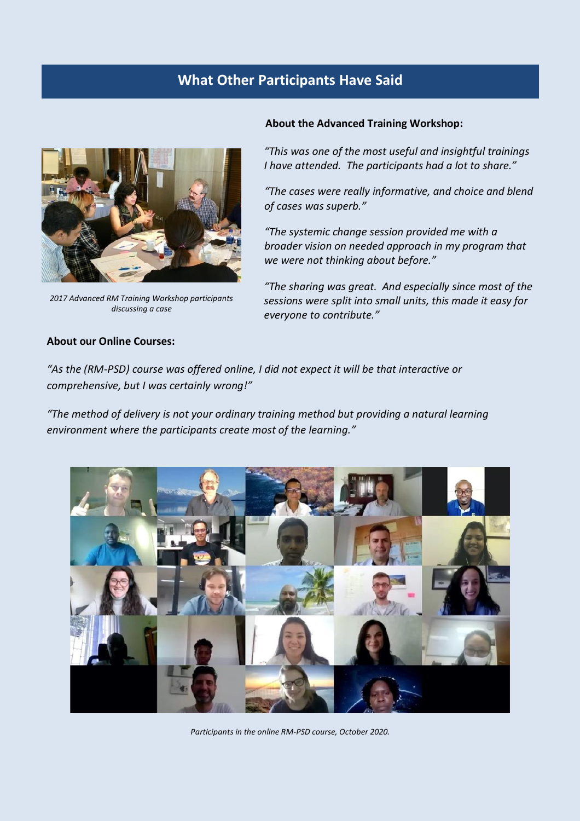## **What Other Participants Have Said**



*2017 Advanced RM Training Workshop participants discussing a case*

### **About our Online Courses:**

### **About the Advanced Training Workshop:**

*"This was one of the most useful and insightful trainings I have attended. The participants had a lot to share."*

*"The cases were really informative, and choice and blend of cases was superb."* 

*"The systemic change session provided me with a broader vision on needed approach in my program that we were not thinking about before."* 

*"The sharing was great. And especially since most of the sessions were split into small units, this made it easy for everyone to contribute."* 

*"As the (RM-PSD) course was offered online, I did not expect it will be that interactive or comprehensive, but I was certainly wrong!"*

*"The method of delivery is not your ordinary training method but providing a natural learning environment where the participants create most of the learning."*



*Participants in the online RM-PSD course, October 2020.*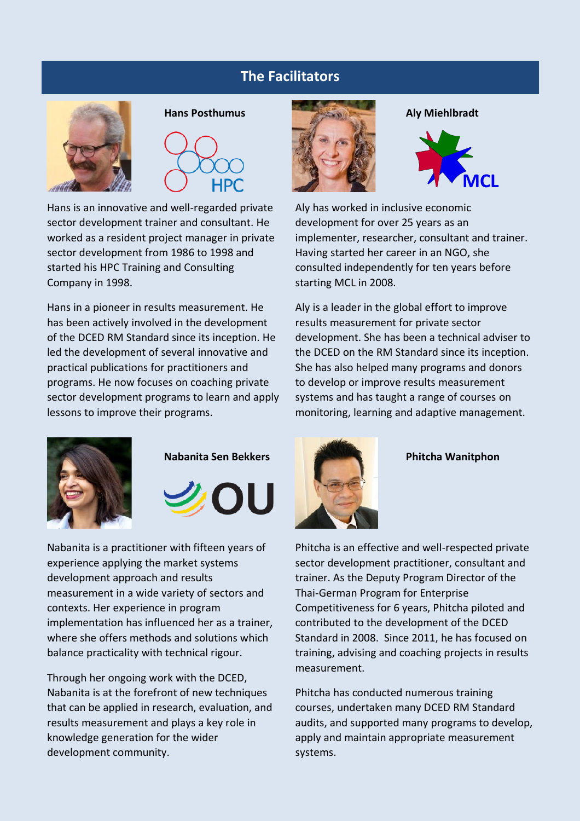### **The Facilitators**





Hans is an innovative and well-regarded private sector development trainer and consultant. He worked as a resident project manager in private sector development from 1986 to 1998 and started his HPC Training and Consulting Company in 1998.

Hans in a pioneer in results measurement. He has been actively involved in the development of the DCED RM Standard since its inception. He led the development of several innovative and practical publications for practitioners and programs. He now focuses on coaching private sector development programs to learn and apply lessons to improve their programs.





Nabanita is a practitioner with fifteen years of experience applying the market systems development approach and results measurement in a wide variety of sectors and contexts. Her experience in program implementation has influenced her as a trainer, where she offers methods and solutions which balance practicality with technical rigour.

Through her ongoing work with the DCED, Nabanita is at the forefront of new techniques that can be applied in research, evaluation, and results measurement and plays a key role in knowledge generation for the wider development community.





Aly has worked in inclusive economic development for over 25 years as an implementer, researcher, consultant and trainer. Having started her career in an NGO, she consulted independently for ten years before starting MCL in 2008.

Aly is a leader in the global effort to improve results measurement for private sector development. She has been a technical adviser to the DCED on the RM Standard since its inception. She has also helped many programs and donors to develop or improve results measurement systems and has taught a range of courses on monitoring, learning and adaptive management.



Phitcha is an effective and well-respected private sector development practitioner, consultant and trainer. As the Deputy Program Director of the Thai-German Program for Enterprise Competitiveness for 6 years, Phitcha piloted and contributed to the development of the DCED Standard in 2008. Since 2011, he has focused on training, advising and coaching projects in results measurement.

Phitcha has conducted numerous training courses, undertaken many DCED RM Standard audits, and supported many programs to develop, apply and maintain appropriate measurement systems.